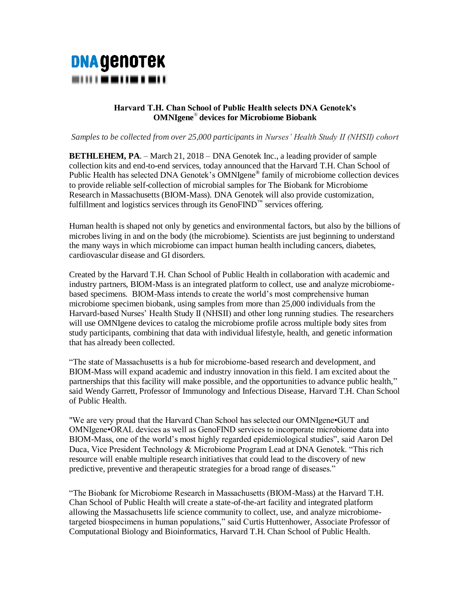## **DNA GENOTEK** ----------

## **Harvard T.H. Chan School of Public Health selects DNA Genotek's OMNIgene***®* **devices for Microbiome Biobank**

*Samples to be collected from over 25,000 participants in Nurses' Health Study II (NHSII) cohort*

**BETHLEHEM, PA**. – March 21, 2018 – DNA Genotek Inc., a leading provider of sample collection kits and end-to-end services, today announced that the Harvard T.H. Chan School of Public Health has selected DNA Genotek's OMNIgene**®** family of microbiome collection devices to provide reliable self-collection of microbial samples for The Biobank for Microbiome Research in Massachusetts (BIOM-Mass). DNA Genotek will also provide customization, fulfillment and logistics services through its GenoFIND™ services offering.

Human health is shaped not only by genetics and environmental factors, but also by the billions of microbes living in and on the body (the microbiome). Scientists are just beginning to understand the many ways in which microbiome can impact human health including cancers, diabetes, cardiovascular disease and GI disorders.

Created by the Harvard T.H. Chan School of Public Health in collaboration with academic and industry partners, BIOM-Mass is an integrated platform to collect, use and analyze microbiomebased specimens. BIOM-Mass intends to create the world's most comprehensive human microbiome specimen biobank, using samples from more than 25,000 individuals from the Harvard-based Nurses' Health Study II (NHSII) and other long running studies. The researchers will use OMNIgene devices to catalog the microbiome profile across multiple body sites from study participants, combining that data with individual lifestyle, health, and genetic information that has already been collected.

"The state of Massachusetts is a hub for microbiome-based research and development, and BIOM-Mass will expand academic and industry innovation in this field. I am excited about the partnerships that this facility will make possible, and the opportunities to advance public health," said Wendy Garrett, Professor of Immunology and Infectious Disease, Harvard T.H. Chan School of Public Health.

"We are very proud that the Harvard Chan School has selected our OMNIgene•GUT and OMNIgene•ORAL devices as well as GenoFIND services to incorporate microbiome data into BIOM-Mass, one of the world's most highly regarded epidemiological studies", said Aaron Del Duca, Vice President Technology & Microbiome Program Lead at DNA Genotek. "This rich resource will enable multiple research initiatives that could lead to the discovery of new predictive, preventive and therapeutic strategies for a broad range of diseases."

"The Biobank for Microbiome Research in Massachusetts (BIOM-Mass) at the Harvard T.H. Chan School of Public Health will create a state-of-the-art facility and integrated platform allowing the Massachusetts life science community to collect, use, and analyze microbiometargeted biospecimens in human populations," said Curtis Huttenhower, Associate Professor of Computational Biology and Bioinformatics, Harvard T.H. Chan School of Public Health.